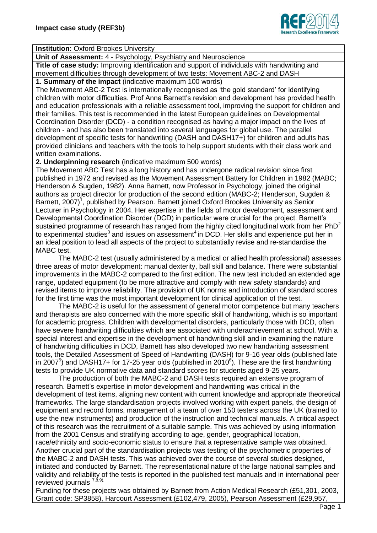

## **Institution: Oxford Brookes University**

**Unit of Assessment:** 4 - Psychology, Psychiatry and Neuroscience

**Title of case study:** Improving identification and support of individuals with handwriting and movement difficulties through development of two tests: Movement ABC-2 and DASH **1. Summary of the impact** (indicative maximum 100 words)

The Movement ABC-2 Test is internationally recognised as 'the gold standard' for identifying children with motor difficulties. Prof Anna Barnett's revision and development has provided health and education professionals with a reliable assessment tool, improving the support for children and their families. This test is recommended in the latest European guidelines on Developmental Coordination Disorder (DCD) - a condition recognised as having a major impact on the lives of children - and has also been translated into several languages for global use. The parallel development of specific tests for handwriting (DASH and DASH17+) for children and adults has provided clinicians and teachers with the tools to help support students with their class work and written examinations.

**2. Underpinning research** (indicative maximum 500 words)

The Movement ABC Test has a long history and has undergone radical revision since first published in 1972 and revised as the Movement Assessment Battery for Children in 1982 (MABC; Henderson & Sugden, 1982). Anna Barnett, now Professor in Psychology, joined the original authors as project director for production of the second edition (MABC-2; Henderson, Sugden & Barnett, 2007)<sup>1</sup>, published by Pearson. Barnett joined Oxford Brookes University as Senior Lecturer in Psychology in 2004. Her expertise in the fields of motor development, assessment and Developmental Coordination Disorder (DCD) in particular were crucial for the project. Barnett's sustained programme of research has ranged from the highly cited longitudinal work from her  $PhD<sup>2</sup>$ to experimental studies<sup>3</sup> and issues on assessment<sup>4</sup> in DCD. Her skills and experience put her in an ideal position to lead all aspects of the project to substantially revise and re-standardise the MABC test.

The MABC-2 test (usually administered by a medical or allied health professional) assesses three areas of motor development: manual dexterity, ball skill and balance. There were substantial improvements in the MABC-2 compared to the first edition. The new test included an extended age range, updated equipment (to be more attractive and comply with new safety standards) and revised items to improve reliability. The provision of UK norms and introduction of standard scores for the first time was the most important development for clinical application of the test.

The MABC-2 is useful for the assessment of general motor competence but many teachers and therapists are also concerned with the more specific skill of handwriting, which is so important for academic progress. Children with developmental disorders, particularly those with DCD, often have severe handwriting difficulties which are associated with underachievement at school. With a special interest and expertise in the development of handwriting skill and in examining the nature of handwriting difficulties in DCD, Barnett has also developed two new handwriting assessment tools, the Detailed Assessment of Speed of Handwriting (DASH) for 9-16 year olds (published late in 2007<sup>5</sup>) and DASH17+ for 17-25 year olds (published in 2010<sup>6</sup>). These are the first handwriting tests to provide UK normative data and standard scores for students aged 9-25 years.

The production of both the MABC-2 and DASH tests required an extensive program of research. Barnett's expertise in motor development and handwriting was critical in the development of test items, aligning new content with current knowledge and appropriate theoretical frameworks. The large standardisation projects involved working with expert panels, the design of equipment and record forms, management of a team of over 150 testers across the UK (trained to use the new instruments) and production of the instruction and technical manuals. A critical aspect of this research was the recruitment of a suitable sample. This was achieved by using information from the 2001 Census and stratifying according to age, gender, geographical location, race/ethnicity and socio-economic status to ensure that a representative sample was obtained.

Another crucial part of the standardisation projects was testing of the psychometric properties of the MABC-2 and DASH tests. This was achieved over the course of several studies designed, initiated and conducted by Barnett. The representational nature of the large national samples and validity and reliability of the tests is reported in the published test manuals and in international peer reviewed journals  $^{7,8,9)}$ .

Funding for these projects was obtained by Barnett from Action Medical Research (£51,301, 2003, Grant code: SP3858), Harcourt Assessment (£102,479, 2005), Pearson Assessment (£29,957,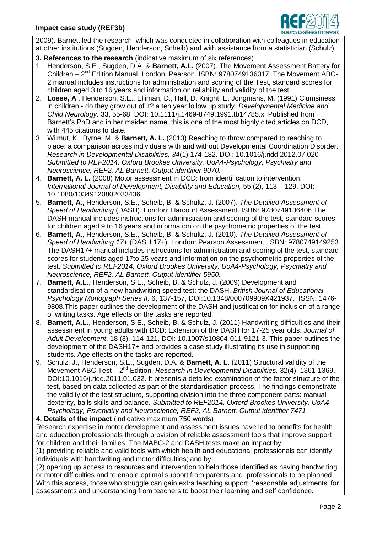

2009). Barnett led the research, which was conducted in collaboration with colleagues in education at other institutions (Sugden, Henderson, Scheib) and with assistance from a statistician (Schulz).

- **3. References to the research** (indicative maximum of six references)
- 1. Henderson, S.E., Sugden, D.A. & **Barnett, A.L.** (2007). The Movement Assessment Battery for Children - 2<sup>nd</sup> Edition Manual. London: Pearson. ISBN: 9780749136017. The Movement ABC-2 manual includes instructions for administration and scoring of the Test, standard scores for children aged 3 to 16 years and information on reliability and validity of the test.
- 2. **Losse, A**., Henderson, S.E., Elliman, D., Hall, D. Knight, E. Jongmans, M. (1991) Clumsiness in children - do they grow out of it? a ten year follow up study*. Developmental Medicine and Child Neurology,* 33, 55-68. DOI: 10.1111/j.1469-8749.1991.tb14785.x. Published from Barnett's PhD and in her maiden name, this is one of the most highly cited articles on DCD, with 445 citations to date.
- 3. Wilmut, K., Byrne, M. & **Barnett, A. L.** (2013) Reaching to throw compared to reaching to place: a comparison across individuals with and without Developmental Coordination Disorder. *Research in Developmental Disabilities, 34*(1) 174-182. DOI: 10.1016/j.ridd.2012.07.020 *Submitted to REF2014, Oxford Brookes University, UoA4-Psychology, Psychiatry and Neuroscience, REF2, AL Barnett, Output identifier 9070.*
- 4. **Barnett, A. L.** (2008) Motor assessment in DCD: from identification to intervention. *International Journal of Development, Disability and Education,* 55 (2), 113 – 129. DOI: 10.1080/10349120802033436.
- 5. **Barnett, A.,** Henderson, S.E., Scheib, B. & Schultz, J. (2007). *The Detailed Assessment of Speed of Handwriting* (DASH). London: Harcourt Assessment. ISBN: 9780749136406 The DASH manual includes instructions for administration and scoring of the test, standard scores for children aged 9 to 16 years and information on the psychometric properties of the test.
- 6. **Barnett, A.**, Henderson, S.E., Scheib, B. & Schultz, J. (2010). *The Detailed Assessment of Speed of Handwriting 17+* (DASH 17+). London: Pearson Assessment. ISBN: 9780749149253. The DASH17+ manual includes instructions for administration and scoring of the test, standard scores for students aged 17to 25 years and information on the psychometric properties of the test. *Submitted to REF2014, Oxford Brookes University, UoA4-Psychology, Psychiatry and Neuroscience, REF2, AL Barnett, Output identifier 5950.*
- 7. **Barnett, A.L**., Henderson, S.E., Scheib, B. & Schulz, J. (2009) Development and standardisation of a new handwriting speed test: the DASH. *British Journal of Educational Psychology Monograph Series II,* 6, 137-157, DOI:10.1348/000709909X421937. ISSN: 1476- 9808.This paper outlines the development of the DASH and justification for inclusion of a range of writing tasks. Age effects on the tasks are reported.
- 8. **Barnett, A.L**., Henderson, S.E., Scheib, B. & Schulz, J. (2011) Handwriting difficulties and their assessment in young adults with DCD: Extension of the DASH for 17-25 year olds. *Journal of Adult Development*, 18 (3), 114-121, DOI: 10.1007/s10804-011-9121-3. This paper outlines the development of the DASH17+ and provides a case study illustrating its use in supporting students. Age effects on the tasks are reported.
- 9. Schulz, J., Henderson, S.E., Sugden, D.A. & **Barnett, A. L.** (2011) Structural validity of the Movement ABC Test - 2<sup>nd</sup> Edition. *Research in Developmental Disabilities*, 32(4), 1361-1369. DOI:10.1016/j.ridd.2011.01.032. It presents a detailed examination of the factor structure of the test, based on data collected as part of the standardisation process. The findings demonstrate the validity of the test structure, supporting division into the three component parts: manual dexterity, balls skills and balance. *Submitted to REF2014, Oxford Brookes University, UoA4- Psychology, Psychiatry and Neuroscience, REF2, AL Barnett, Output identifier 7471*
- **4. Details of the impact** (indicative maximum 750 words)

Research expertise in motor development and assessment issues have led to benefits for health and education professionals through provision of reliable assessment tools that improve support for children and their families. The MABC-2 and DASH tests make an impact by:

(1) providing reliable and valid tools with which health and educational professionals can identify individuals with handwriting and motor difficulties; and by

(2) opening up access to resources and intervention to help those identified as having handwriting or motor difficulties and to enable optimal support from parents and professionals to be planned. With this access, those who struggle can gain extra teaching support, 'reasonable adjustments' for assessments and understanding from teachers to boost their learning and self confidence.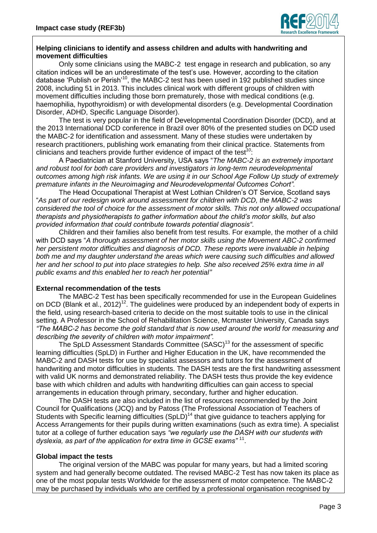

## **Helping clinicians to identify and assess children and adults with handwriting and movement difficulties**

Only some clinicians using the MABC-2 test engage in research and publication, so any citation indices will be an underestimate of the test's use. However, according to the citation database 'Publish or Perish'<sup>10</sup>, the MABC-2 test has been used in 192 published studies since 2008, including 51 in 2013. This includes clinical work with different groups of children with movement difficulties including those born prematurely, those with medical conditions (e.g. haemophilia, hypothyroidism) or with developmental disorders (e.g. Developmental Coordination Disorder, ADHD, Specific Language Disorder).

The test is very popular in the field of Developmental Coordination Disorder (DCD), and at the 2013 International DCD conference in Brazil over 80% of the presented studies on DCD used the MABC-2 for identification and assessment. Many of these studies were undertaken by research practitioners, publishing work emanating from their clinical practice. Statements from clinicians and teachers provide further evidence of impact of the test*<sup>10</sup>*:

A Paediatrician at Stanford University, USA says "*The MABC-2 is an extremely important and robust tool for both care providers and investigators in long-term neurodevelopmental outcomes among high risk infants. We are using it in our School Age Follow Up study of extremely premature infants in the Neuroimaging and Neurodevelopmental Outcomes Cohort".* 

The Head Occupational Therapist at West Lothian Children's OT Service, Scotland says "*As part of our redesign work around assessment for children with DCD, the MABC-2 was considered the tool of choice for the assessment of motor skills. This not only allowed occupational therapists and physiotherapists to gather information about the child's motor skills, but also provided information that could contribute towards potential diagnosis".*

Children and their families also benefit from test results. For example, the mother of a child with DCD says "*A thorough assessment of her motor skills using the Movement ABC-2 confirmed her persistent motor difficulties and diagnosis of DCD. These reports were invaluable in helping both me and my daughter understand the areas which were causing such difficulties and allowed her and her school to put into place strategies to help. She also received 25% extra time in all public exams and this enabled her to reach her potential"* 

## **External recommendation of the tests**

The MABC-2 Test has been specifically recommended for use in the European Guidelines on DCD (Blank et al., 2012)<sup>12</sup>. The guidelines were produced by an independent body of experts in the field, using research-based criteria to decide on the most suitable tools to use in the clinical setting. A Professor in the School of Rehabilitation Science, Mcmaster University, Canada says *"The MABC-2 has become the gold standard that is now used around the world for measuring and describing the severity of children with motor impairment".*

The SpLD Assessment Standards Committee (SASC)<sup>13</sup> for the assessment of specific learning difficulties (SpLD) in Further and Higher Education in the UK, have recommended the MABC-2 and DASH tests for use by specialist assessors and tutors for the assessment of handwriting and motor difficulties in students. The DASH tests are the first handwriting assessment with valid UK norms and demonstrated reliability. The DASH tests thus provide the key evidence base with which children and adults with handwriting difficulties can gain access to special arrangements in education through primary, secondary, further and higher education.

The DASH tests are also included in the list of resources recommended by the Joint Council for Qualifications (JCQ) and by Patoss (The Professional Association of Teachers of Students with Specific learning difficulties (SpLD)<sup>14</sup> that give guidance to teachers applying for Access Arrangements for their pupils during written examinations (such as extra time). A specialist tutor at a college of further education says *"we regularly use the DASH with our students with dyslexia, as part of the application for extra time in GCSE exams"* <sup>11</sup> .

# **Global impact the tests**

The original version of the MABC was popular for many years, but had a limited scoring system and had generally become outdated. The revised MABC-2 Test has now taken its place as one of the most popular tests Worldwide for the assessment of motor competence. The MABC-2 may be purchased by individuals who are certified by a professional organisation recognised by